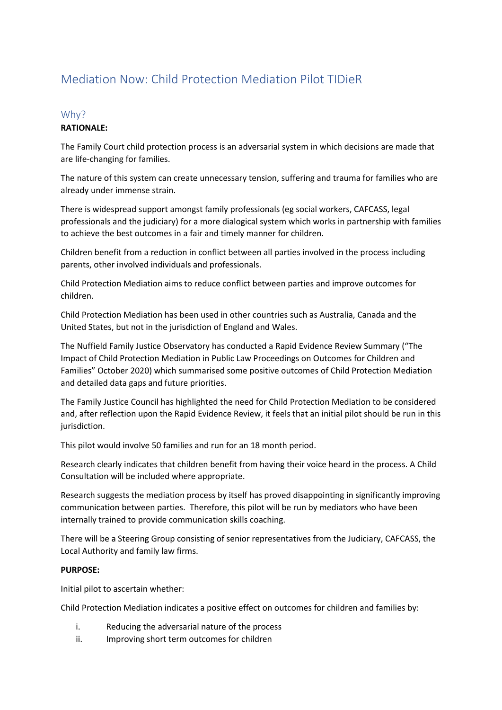# Mediation Now: Child Protection Mediation Pilot TIDieR

# Why?

# **RATIONALE:**

The Family Court child protection process is an adversarial system in which decisions are made that are life-changing for families.

The nature of this system can create unnecessary tension, suffering and trauma for families who are already under immense strain.

There is widespread support amongst family professionals (eg social workers, CAFCASS, legal professionals and the judiciary) for a more dialogical system which works in partnership with families to achieve the best outcomes in a fair and timely manner for children.

Children benefit from a reduction in conflict between all parties involved in the process including parents, other involved individuals and professionals.

Child Protection Mediation aims to reduce conflict between parties and improve outcomes for children.

Child Protection Mediation has been used in other countries such as Australia, Canada and the United States, but not in the jurisdiction of England and Wales.

The Nuffield Family Justice Observatory has conducted a Rapid Evidence Review Summary ("The Impact of Child Protection Mediation in Public Law Proceedings on Outcomes for Children and Families" October 2020) which summarised some positive outcomes of Child Protection Mediation and detailed data gaps and future priorities.

The Family Justice Council has highlighted the need for Child Protection Mediation to be considered and, after reflection upon the Rapid Evidence Review, it feels that an initial pilot should be run in this jurisdiction.

This pilot would involve 50 families and run for an 18 month period.

Research clearly indicates that children benefit from having their voice heard in the process. A Child Consultation will be included where appropriate.

Research suggests the mediation process by itself has proved disappointing in significantly improving communication between parties. Therefore, this pilot will be run by mediators who have been internally trained to provide communication skills coaching.

There will be a Steering Group consisting of senior representatives from the Judiciary, CAFCASS, the Local Authority and family law firms.

## **PURPOSE:**

Initial pilot to ascertain whether:

Child Protection Mediation indicates a positive effect on outcomes for children and families by:

- i. Reducing the adversarial nature of the process
- ii. Improving short term outcomes for children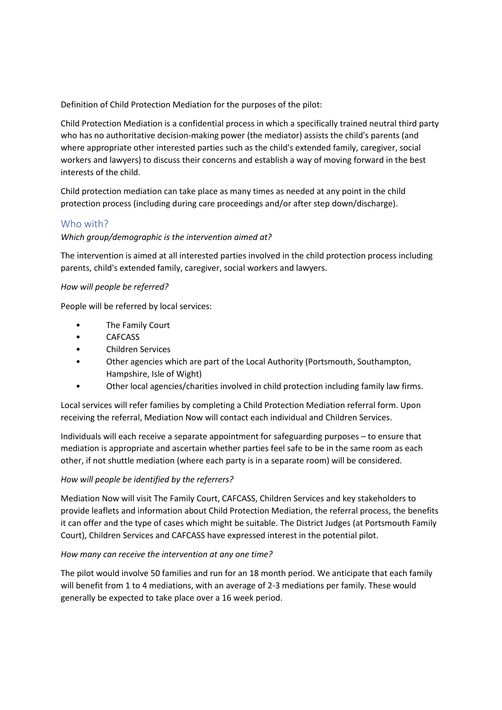Definition of Child Protection Mediation for the purposes of the pilot:

Child Protection Mediation is a confidential process in which a specifically trained neutral third party who has no authoritative decision-making power (the mediator) assists the child's parents (and where appropriate other interested parties such as the child's extended family, caregiver, social workers and lawyers) to discuss their concerns and establish a way of moving forward in the best interests of the child.

Child protection mediation can take place as many times as needed at any point in the child protection process (including during care proceedings and/or after step down/discharge).

# Who with?

## *Which group/demographic is the intervention aimed at?*

The intervention is aimed at all interested parties involved in the child protection process including parents, child's extended family, caregiver, social workers and lawyers.

#### *How will people be referred?*

People will be referred by local services:

- The Family Court
- CAFCASS
- Children Services
- Other agencies which are part of the Local Authority (Portsmouth, Southampton, Hampshire, Isle of Wight)
- Other local agencies/charities involved in child protection including family law firms.

Local services will refer families by completing a Child Protection Mediation referral form. Upon receiving the referral, Mediation Now will contact each individual and Children Services.

Individuals will each receive a separate appointment for safeguarding purposes – to ensure that mediation is appropriate and ascertain whether parties feel safe to be in the same room as each other, if not shuttle mediation (where each party is in a separate room) will be considered.

## *How will people be identified by the referrers?*

Mediation Now will visit The Family Court, CAFCASS, Children Services and key stakeholders to provide leaflets and information about Child Protection Mediation, the referral process, the benefits it can offer and the type of cases which might be suitable. The District Judges (at Portsmouth Family Court), Children Services and CAFCASS have expressed interest in the potential pilot.

## *How many can receive the intervention at any one time?*

The pilot would involve 50 families and run for an 18 month period. We anticipate that each family will benefit from 1 to 4 mediations, with an average of 2-3 mediations per family. These would generally be expected to take place over a 16 week period.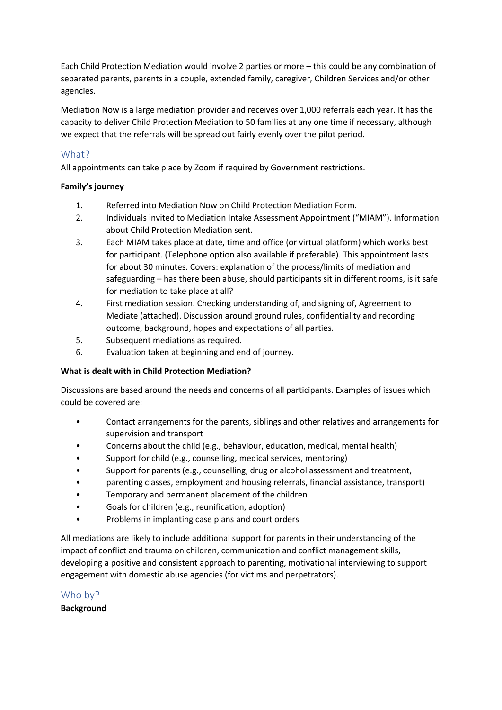Each Child Protection Mediation would involve 2 parties or more – this could be any combination of separated parents, parents in a couple, extended family, caregiver, Children Services and/or other agencies.

Mediation Now is a large mediation provider and receives over 1,000 referrals each year. It has the capacity to deliver Child Protection Mediation to 50 families at any one time if necessary, although we expect that the referrals will be spread out fairly evenly over the pilot period.

# What?

All appointments can take place by Zoom if required by Government restrictions.

## **Family's journey**

- 1. Referred into Mediation Now on Child Protection Mediation Form.
- 2. Individuals invited to Mediation Intake Assessment Appointment ("MIAM"). Information about Child Protection Mediation sent.
- 3. Each MIAM takes place at date, time and office (or virtual platform) which works best for participant. (Telephone option also available if preferable). This appointment lasts for about 30 minutes. Covers: explanation of the process/limits of mediation and safeguarding – has there been abuse, should participants sit in different rooms, is it safe for mediation to take place at all?
- 4. First mediation session. Checking understanding of, and signing of, Agreement to Mediate (attached). Discussion around ground rules, confidentiality and recording outcome, background, hopes and expectations of all parties.
- 5. Subsequent mediations as required.
- 6. Evaluation taken at beginning and end of journey.

## **What is dealt with in Child Protection Mediation?**

Discussions are based around the needs and concerns of all participants. Examples of issues which could be covered are:

- Contact arrangements for the parents, siblings and other relatives and arrangements for supervision and transport
- Concerns about the child (e.g., behaviour, education, medical, mental health)
- Support for child (e.g., counselling, medical services, mentoring)
- Support for parents (e.g., counselling, drug or alcohol assessment and treatment,
- parenting classes, employment and housing referrals, financial assistance, transport)
- Temporary and permanent placement of the children
- Goals for children (e.g., reunification, adoption)
- Problems in implanting case plans and court orders

All mediations are likely to include additional support for parents in their understanding of the impact of conflict and trauma on children, communication and conflict management skills, developing a positive and consistent approach to parenting, motivational interviewing to support engagement with domestic abuse agencies (for victims and perpetrators).

Who by?

**Background**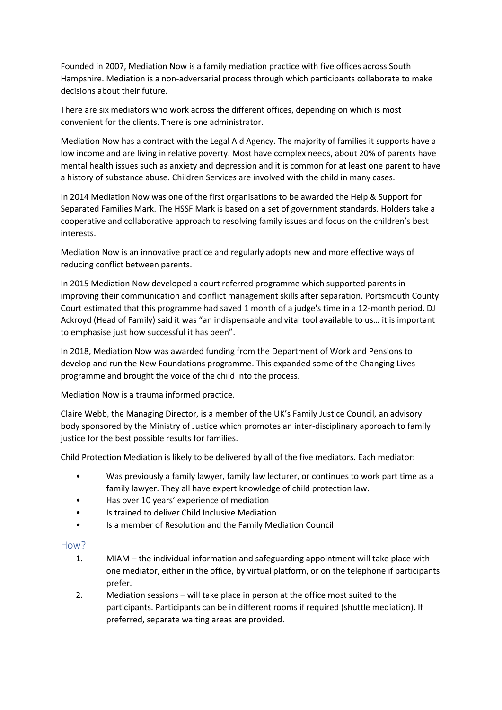Founded in 2007, Mediation Now is a family mediation practice with five offices across South Hampshire. Mediation is a non-adversarial process through which participants collaborate to make decisions about their future.

There are six mediators who work across the different offices, depending on which is most convenient for the clients. There is one administrator.

Mediation Now has a contract with the Legal Aid Agency. The majority of families it supports have a low income and are living in relative poverty. Most have complex needs, about 20% of parents have mental health issues such as anxiety and depression and it is common for at least one parent to have a history of substance abuse. Children Services are involved with the child in many cases.

In 2014 Mediation Now was one of the first organisations to be awarded the Help & Support for Separated Families Mark. The HSSF Mark is based on a set of government standards. Holders take a cooperative and collaborative approach to resolving family issues and focus on the children's best interests.

Mediation Now is an innovative practice and regularly adopts new and more effective ways of reducing conflict between parents.

In 2015 Mediation Now developed a court referred programme which supported parents in improving their communication and conflict management skills after separation. Portsmouth County Court estimated that this programme had saved 1 month of a judge's time in a 12-month period. DJ Ackroyd (Head of Family) said it was "an indispensable and vital tool available to us… it is important to emphasise just how successful it has been".

In 2018, Mediation Now was awarded funding from the Department of Work and Pensions to develop and run the New Foundations programme. This expanded some of the Changing Lives programme and brought the voice of the child into the process.

Mediation Now is a trauma informed practice.

Claire Webb, the Managing Director, is a member of the UK's Family Justice Council, an advisory body sponsored by the Ministry of Justice which promotes an inter-disciplinary approach to family justice for the best possible results for families.

Child Protection Mediation is likely to be delivered by all of the five mediators. Each mediator:

- Was previously a family lawyer, family law lecturer, or continues to work part time as a family lawyer. They all have expert knowledge of child protection law.
- Has over 10 years' experience of mediation
- Is trained to deliver Child Inclusive Mediation
- Is a member of Resolution and the Family Mediation Council

## How?

- 1. MIAM the individual information and safeguarding appointment will take place with one mediator, either in the office, by virtual platform, or on the telephone if participants prefer.
- 2. Mediation sessions will take place in person at the office most suited to the participants. Participants can be in different rooms if required (shuttle mediation). If preferred, separate waiting areas are provided.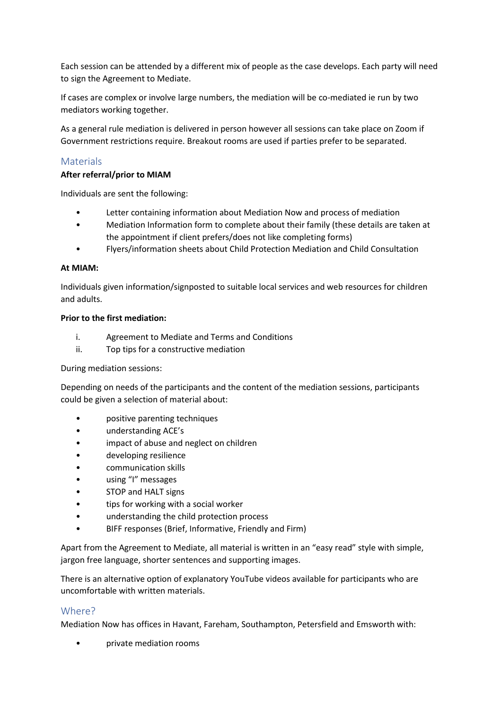Each session can be attended by a different mix of people as the case develops. Each party will need to sign the Agreement to Mediate.

If cases are complex or involve large numbers, the mediation will be co-mediated ie run by two mediators working together.

As a general rule mediation is delivered in person however all sessions can take place on Zoom if Government restrictions require. Breakout rooms are used if parties prefer to be separated.

# Materials

#### **After referral/prior to MIAM**

Individuals are sent the following:

- Letter containing information about Mediation Now and process of mediation
- Mediation Information form to complete about their family (these details are taken at the appointment if client prefers/does not like completing forms)
- Flyers/information sheets about Child Protection Mediation and Child Consultation

#### **At MIAM:**

Individuals given information/signposted to suitable local services and web resources for children and adults.

#### **Prior to the first mediation:**

- i. Agreement to Mediate and Terms and Conditions
- ii. Top tips for a constructive mediation

#### During mediation sessions:

Depending on needs of the participants and the content of the mediation sessions, participants could be given a selection of material about:

- positive parenting techniques
- understanding ACE's
- impact of abuse and neglect on children
- developing resilience
- communication skills
- using "I" messages
- STOP and HALT signs
- tips for working with a social worker
- understanding the child protection process
- BIFF responses (Brief, Informative, Friendly and Firm)

Apart from the Agreement to Mediate, all material is written in an "easy read" style with simple, jargon free language, shorter sentences and supporting images.

There is an alternative option of explanatory YouTube videos available for participants who are uncomfortable with written materials.

#### Where?

Mediation Now has offices in Havant, Fareham, Southampton, Petersfield and Emsworth with:

• private mediation rooms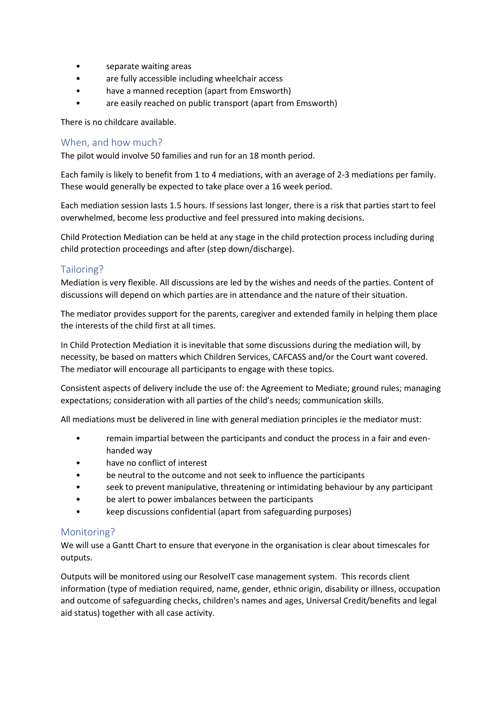- separate waiting areas
- are fully accessible including wheelchair access
- have a manned reception (apart from Emsworth)
- are easily reached on public transport (apart from Emsworth)

There is no childcare available.

## When, and how much?

The pilot would involve 50 families and run for an 18 month period.

Each family is likely to benefit from 1 to 4 mediations, with an average of 2-3 mediations per family. These would generally be expected to take place over a 16 week period.

Each mediation session lasts 1.5 hours. If sessions last longer, there is a risk that parties start to feel overwhelmed, become less productive and feel pressured into making decisions.

Child Protection Mediation can be held at any stage in the child protection process including during child protection proceedings and after (step down/discharge).

## Tailoring?

Mediation is very flexible. All discussions are led by the wishes and needs of the parties. Content of discussions will depend on which parties are in attendance and the nature of their situation.

The mediator provides support for the parents, caregiver and extended family in helping them place the interests of the child first at all times.

In Child Protection Mediation it is inevitable that some discussions during the mediation will, by necessity, be based on matters which Children Services, CAFCASS and/or the Court want covered. The mediator will encourage all participants to engage with these topics.

Consistent aspects of delivery include the use of: the Agreement to Mediate; ground rules; managing expectations; consideration with all parties of the child's needs; communication skills.

All mediations must be delivered in line with general mediation principles ie the mediator must:

- remain impartial between the participants and conduct the process in a fair and evenhanded way
- have no conflict of interest
- be neutral to the outcome and not seek to influence the participants
- seek to prevent manipulative, threatening or intimidating behaviour by any participant
- be alert to power imbalances between the participants
- keep discussions confidential (apart from safeguarding purposes)

## Monitoring?

We will use a Gantt Chart to ensure that everyone in the organisation is clear about timescales for outputs.

Outputs will be monitored using our ResolveIT case management system. This records client information (type of mediation required, name, gender, ethnic origin, disability or illness, occupation and outcome of safeguarding checks, children's names and ages, Universal Credit/benefits and legal aid status) together with all case activity.